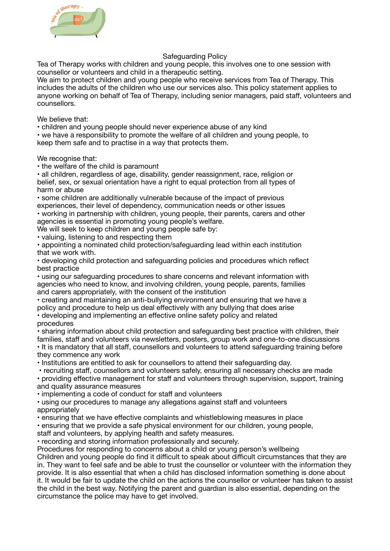

## Safeguarding Policy

Tea of Therapy works with children and young people, this involves one to one session with counsellor or volunteers and child in a therapeutic setting.

We aim to protect children and young people who receive services from Tea of Therapy. This includes the adults of the children who use our services also. This policy statement applies to anyone working on behalf of Tea of Therapy, including senior managers, paid staff, volunteers and counsellors.

We believe that:

• children and young people should never experience abuse of any kind

• we have a responsibility to promote the welfare of all children and young people, to keep them safe and to practise in a way that protects them.

We recognise that:

• the welfare of the child is paramount

• all children, regardless of age, disability, gender reassignment, race, religion or belief, sex, or sexual orientation have a right to equal protection from all types of harm or abuse

• some children are additionally vulnerable because of the impact of previous experiences, their level of dependency, communication needs or other issues

• working in partnership with children, young people, their parents, carers and other agencies is essential in promoting young people's welfare.

We will seek to keep children and young people safe by:

• valuing, listening to and respecting them

• appointing a nominated child protection/safeguarding lead within each institution that we work with.

• developing child protection and safeguarding policies and procedures which reflect best practice

• using our safeguarding procedures to share concerns and relevant information with agencies who need to know, and involving children, young people, parents, families and carers appropriately, with the consent of the institution

• creating and maintaining an anti-bullying environment and ensuring that we have a policy and procedure to help us deal effectively with any bullying that does arise

• developing and implementing an effective online safety policy and related procedures

• sharing information about child protection and safeguarding best practice with children, their families, staff and volunteers via newsletters, posters, group work and one-to-one discussions • It is mandatory that all staff, counsellors and volunteers to attend safeguarding training before they commence any work

• Institutions are entitled to ask for counsellors to attend their safeguarding day.

• recruiting staff, counsellors and volunteers safely, ensuring all necessary checks are made

• providing effective management for staff and volunteers through supervision, support, training and quality assurance measures

• implementing a code of conduct for staff and volunteers

• using our procedures to manage any allegations against staff and volunteers appropriately

• ensuring that we have effective complaints and whistleblowing measures in place

• ensuring that we provide a safe physical environment for our children, young people,

staff and volunteers, by applying health and safety measures.

• recording and storing information professionally and securely.

Procedures for responding to concerns about a child or young person's wellbeing Children and young people do find it difficult to speak about difficult circumstances that they are in. They want to feel safe and be able to trust the counsellor or volunteer with the information they provide. It is also essential that when a child has disclosed information something is done about it. It would be fair to update the child on the actions the counsellor or volunteer has taken to assist the child in the best way. Notifying the parent and guardian is also essential, depending on the circumstance the police may have to get involved.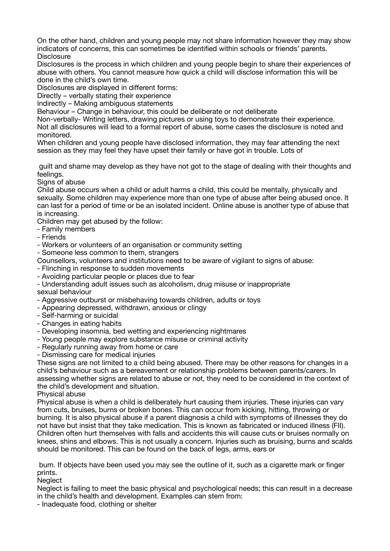On the other hand, children and young people may not share information however they may show indicators of concerns, this can sometimes be identified within schools or friends' parents. **Disclosure** 

Disclosures is the process in which children and young people begin to share their experiences of abuse with others. You cannot measure how quick a child will disclose information this will be done in the child's own time.

Disclosures are displayed in different forms:

Directly – verbally stating their experience

Indirectly – Making ambiguous statements

Behaviour – Change in behaviour, this could be deliberate or not deliberate

Non-verbally- Writing letters, drawing pictures or using toys to demonstrate their experience. Not all disclosures will lead to a formal report of abuse, some cases the disclosure is noted and monitored.

When children and young people have disclosed information, they may fear attending the next session as they may feel they have upset their family or have got in trouble. Lots of

 guilt and shame may develop as they have not got to the stage of dealing with their thoughts and feelings.

Signs of abuse

Child abuse occurs when a child or adult harms a child, this could be mentally, physically and sexually. Some children may experience more than one type of abuse after being abused once. It can last for a period of time or be an isolated incident. Online abuse is another type of abuse that is increasing.

Children may get abused by the follow:

- Family members
- Friends

- Workers or volunteers of an organisation or community setting

- Someone less common to them, strangers

Counsellors, volunteers and institutions need to be aware of vigilant to signs of abuse:

- Flinching in response to sudden movements

- Avoiding particular people or places due to fear

- Understanding adult issues such as alcoholism, drug misuse or inappropriate sexual behaviour

- Aggressive outburst or misbehaving towards children, adults or toys

- Appearing depressed, withdrawn, anxious or clingy

- Self-harming or suicidal
- Changes in eating habits
- Developing insomnia, bed wetting and experiencing nightmares
- Young people may explore substance misuse or criminal activity
- Regularly running away from home or care

- Dismissing care for medical injuries

These signs are not limited to a child being abused. There may be other reasons for changes in a child's behaviour such as a bereavement or relationship problems between parents/carers. In assessing whether signs are related to abuse or not, they need to be considered in the context of the child's development and situation.

Physical abuse

Physical abuse is when a child is deliberately hurt causing them injuries. These injuries can vary from cuts, bruises, burns or broken bones. This can occur from kicking, hitting, throwing or burning. It is also physical abuse if a parent diagnosis a child with symptoms of illnesses they do not have but insist that they take medication. This is known as fabricated or induced illness (FII). Children often hurt themselves with falls and accidents this will cause cuts or bruises normally on knees, shins and elbows. This is not usually a concern. Injuries such as bruising, burns and scalds should be monitored. This can be found on the back of legs, arms, ears or

 bum. If objects have been used you may see the outline of it, such as a cigarette mark or finger prints.

**Neglect** 

Neglect is failing to meet the basic physical and psychological needs; this can result in a decrease in the child's health and development. Examples can stem from:

- Inadequate food, clothing or shelter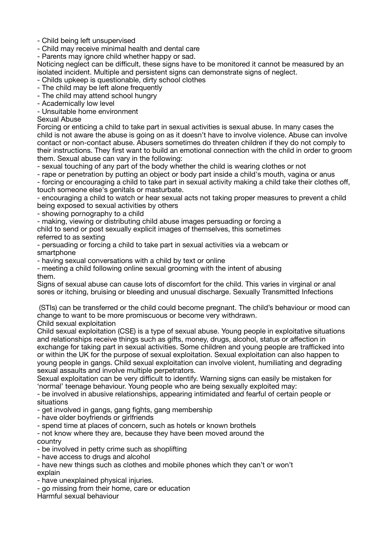- Child being left unsupervised

- Child may receive minimal health and dental care

- Parents may ignore child whether happy or sad.

Noticing neglect can be difficult, these signs have to be monitored it cannot be measured by an isolated incident. Multiple and persistent signs can demonstrate signs of neglect.

- Childs upkeep is questionable, dirty school clothes

- The child may be left alone frequently

- The child may attend school hungry

- Academically low level

- Unsuitable home environment

Sexual Abuse

Forcing or enticing a child to take part in sexual activities is sexual abuse. In many cases the child is not aware the abuse is going on as it doesn't have to involve violence. Abuse can involve contact or non-contact abuse. Abusers sometimes do threaten children if they do not comply to their instructions. They first want to build an emotional connection with the child in order to groom them. Sexual abuse can vary in the following:

- sexual touching of any part of the body whether the child is wearing clothes or not

- rape or penetration by putting an object or body part inside a child's mouth, vagina or anus - forcing or encouraging a child to take part in sexual activity making a child take their clothes off, touch someone else's genitals or masturbate.

- encouraging a child to watch or hear sexual acts not taking proper measures to prevent a child being exposed to sexual activities by others

- showing pornography to a child

- making, viewing or distributing child abuse images persuading or forcing a

child to send or post sexually explicit images of themselves, this sometimes referred to as sexting

- persuading or forcing a child to take part in sexual activities via a webcam or smartphone

- having sexual conversations with a child by text or online

- meeting a child following online sexual grooming with the intent of abusing them.

Signs of sexual abuse can cause lots of discomfort for the child. This varies in virginal or anal sores or itching, bruising or bleeding and unusual discharge. Sexually Transmitted Infections

 (STIs) can be transferred or the child could become pregnant. The child's behaviour or mood can change to want to be more promiscuous or become very withdrawn.

Child sexual exploitation

Child sexual exploitation (CSE) is a type of sexual abuse. Young people in exploitative situations and relationships receive things such as gifts, money, drugs, alcohol, status or affection in exchange for taking part in sexual activities. Some children and young people are trafficked into or within the UK for the purpose of sexual exploitation. Sexual exploitation can also happen to young people in gangs. Child sexual exploitation can involve violent, humiliating and degrading sexual assaults and involve multiple perpetrators.

Sexual exploitation can be very difficult to identify. Warning signs can easily be mistaken for 'normal' teenage behaviour. Young people who are being sexually exploited may:

- be involved in abusive relationships, appearing intimidated and fearful of certain people or situations

- get involved in gangs, gang fights, gang membership

- have older boyfriends or girlfriends

- spend time at places of concern, such as hotels or known brothels

- not know where they are, because they have been moved around the country

- be involved in petty crime such as shoplifting

- have access to drugs and alcohol

- have new things such as clothes and mobile phones which they can't or won't explain

- have unexplained physical injuries.

- go missing from their home, care or education

Harmful sexual behaviour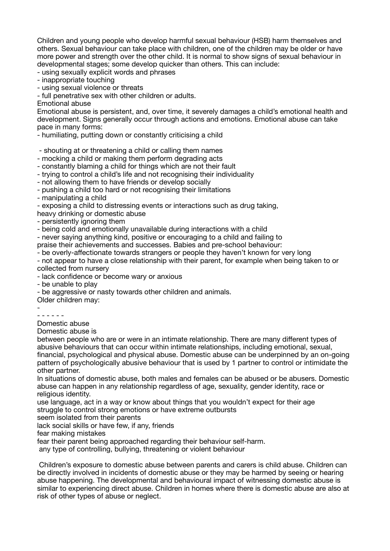Children and young people who develop harmful sexual behaviour (HSB) harm themselves and others. Sexual behaviour can take place with children, one of the children may be older or have more power and strength over the other child. It is normal to show signs of sexual behaviour in developmental stages; some develop quicker than others. This can include:

- using sexually explicit words and phrases

- inappropriate touching

- using sexual violence or threats

- full penetrative sex with other children or adults.

Emotional abuse

Emotional abuse is persistent, and, over time, it severely damages a child's emotional health and development. Signs generally occur through actions and emotions. Emotional abuse can take pace in many forms:

- humiliating, putting down or constantly criticising a child

- shouting at or threatening a child or calling them names

- mocking a child or making them perform degrading acts

- constantly blaming a child for things which are not their fault

- trying to control a child's life and not recognising their individuality

- not allowing them to have friends or develop socially

- pushing a child too hard or not recognising their limitations

- manipulating a child

- exposing a child to distressing events or interactions such as drug taking,

heavy drinking or domestic abuse

- persistently ignoring them

- being cold and emotionally unavailable during interactions with a child

- never saying anything kind, positive or encouraging to a child and failing to

praise their achievements and successes. Babies and pre-school behaviour:

- be overly-affectionate towards strangers or people they haven't known for very long

- not appear to have a close relationship with their parent, for example when being taken to or collected from nursery

- lack confidence or become wary or anxious

- be unable to play

- be aggressive or nasty towards other children and animals.

Older children may:

- - - - - - -

Domestic abuse

Domestic abuse is

between people who are or were in an intimate relationship. There are many different types of abusive behaviours that can occur within intimate relationships, including emotional, sexual, financial, psychological and physical abuse. Domestic abuse can be underpinned by an on-going pattern of psychologically abusive behaviour that is used by 1 partner to control or intimidate the other partner.

In situations of domestic abuse, both males and females can be abused or be abusers. Domestic abuse can happen in any relationship regardless of age, sexuality, gender identity, race or religious identity.

use language, act in a way or know about things that you wouldn't expect for their age struggle to control strong emotions or have extreme outbursts

seem isolated from their parents

lack social skills or have few, if any, friends

fear making mistakes

fear their parent being approached regarding their behaviour self-harm.

any type of controlling, bullying, threatening or violent behaviour

 Children's exposure to domestic abuse between parents and carers is child abuse. Children can be directly involved in incidents of domestic abuse or they may be harmed by seeing or hearing abuse happening. The developmental and behavioural impact of witnessing domestic abuse is similar to experiencing direct abuse. Children in homes where there is domestic abuse are also at risk of other types of abuse or neglect.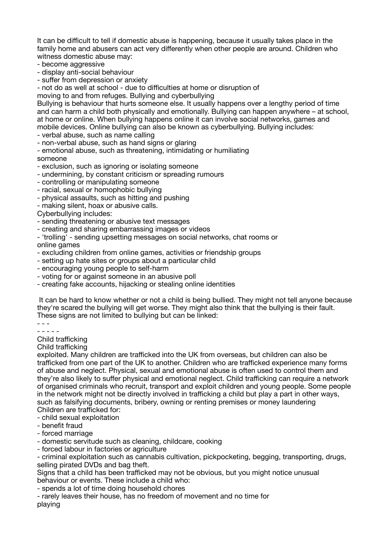It can be difficult to tell if domestic abuse is happening, because it usually takes place in the family home and abusers can act very differently when other people are around. Children who witness domestic abuse may:

- become aggressive

- display anti-social behaviour

- suffer from depression or anxiety

- not do as well at school - due to difficulties at home or disruption of

moving to and from refuges. Bullying and cyberbullying

Bullying is behaviour that hurts someone else. It usually happens over a lengthy period of time and can harm a child both physically and emotionally. Bullying can happen anywhere – at school, at home or online. When bullying happens online it can involve social networks, games and mobile devices. Online bullying can also be known as cyberbullying. Bullying includes:

- verbal abuse, such as name calling

- non-verbal abuse, such as hand signs or glaring

- emotional abuse, such as threatening, intimidating or humiliating someone

- exclusion, such as ignoring or isolating someone

- undermining, by constant criticism or spreading rumours
- controlling or manipulating someone
- racial, sexual or homophobic bullying
- physical assaults, such as hitting and pushing
- making silent, hoax or abusive calls.

Cyberbullying includes:

- sending threatening or abusive text messages
- creating and sharing embarrassing images or videos
- 'trolling' sending upsetting messages on social networks, chat rooms or online games
- excluding children from online games, activities or friendship groups
- setting up hate sites or groups about a particular child
- encouraging young people to self-harm
- voting for or against someone in an abusive poll
- creating fake accounts, hijacking or stealing online identities

 It can be hard to know whether or not a child is being bullied. They might not tell anyone because they're scared the bullying will get worse. They might also think that the bullying is their fault. These signs are not limited to bullying but can be linked:

- - - - - - - -

Child trafficking

Child trafficking

exploited. Many children are trafficked into the UK from overseas, but children can also be trafficked from one part of the UK to another. Children who are trafficked experience many forms of abuse and neglect. Physical, sexual and emotional abuse is often used to control them and they're also likely to suffer physical and emotional neglect. Child trafficking can require a network of organised criminals who recruit, transport and exploit children and young people. Some people in the network might not be directly involved in trafficking a child but play a part in other ways, such as falsifying documents, bribery, owning or renting premises or money laundering Children are trafficked for:

- child sexual exploitation
- benefit fraud
- forced marriage
- domestic servitude such as cleaning, childcare, cooking
- forced labour in factories or agriculture

- criminal exploitation such as cannabis cultivation, pickpocketing, begging, transporting, drugs, selling pirated DVDs and bag theft.

Signs that a child has been trafficked may not be obvious, but you might notice unusual behaviour or events. These include a child who:

- spends a lot of time doing household chores

- rarely leaves their house, has no freedom of movement and no time for playing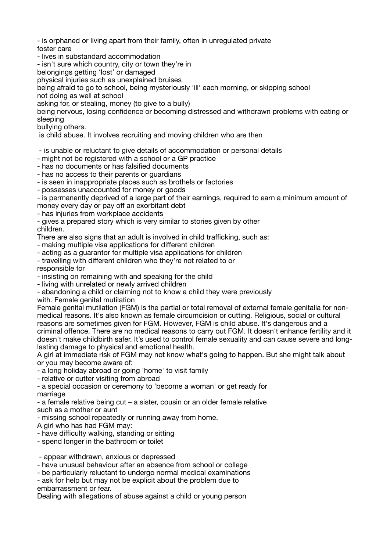- is orphaned or living apart from their family, often in unregulated private foster care

- lives in substandard accommodation

- isn't sure which country, city or town they're in

belongings getting 'lost' or damaged

physical injuries such as unexplained bruises

being afraid to go to school, being mysteriously 'ill' each morning, or skipping school not doing as well at school

asking for, or stealing, money (to give to a bully)

being nervous, losing confidence or becoming distressed and withdrawn problems with eating or sleeping

bullying others.

is child abuse. It involves recruiting and moving children who are then

- is unable or reluctant to give details of accommodation or personal details

- might not be registered with a school or a GP practice

- has no documents or has falsified documents

- has no access to their parents or guardians

- is seen in inappropriate places such as brothels or factories

- possesses unaccounted for money or goods

- is permanently deprived of a large part of their earnings, required to earn a minimum amount of money every day or pay off an exorbitant debt

- has injuries from workplace accidents

- gives a prepared story which is very similar to stories given by other children.

There are also signs that an adult is involved in child trafficking, such as:

- making multiple visa applications for different children

- acting as a guarantor for multiple visa applications for children

- travelling with different children who they're not related to or

responsible for

- insisting on remaining with and speaking for the child

- living with unrelated or newly arrived children

- abandoning a child or claiming not to know a child they were previously

with. Female genital mutilation

Female genital mutilation (FGM) is the partial or total removal of external female genitalia for nonmedical reasons. It's also known as female circumcision or cutting. Religious, social or cultural reasons are sometimes given for FGM. However, FGM is child abuse. It's dangerous and a criminal offence. There are no medical reasons to carry out FGM. It doesn't enhance fertility and it doesn't make childbirth safer. It's used to control female sexuality and can cause severe and longlasting damage to physical and emotional health.

A girl at immediate risk of FGM may not know what's going to happen. But she might talk about or you may become aware of:

- a long holiday abroad or going 'home' to visit family

- relative or cutter visiting from abroad

- a special occasion or ceremony to 'become a woman' or get ready for marriage

- a female relative being cut – a sister, cousin or an older female relative such as a mother or aunt

- missing school repeatedly or running away from home.

A girl who has had FGM may:

- have difficulty walking, standing or sitting

- spend longer in the bathroom or toilet

- appear withdrawn, anxious or depressed

- have unusual behaviour after an absence from school or college

- be particularly reluctant to undergo normal medical examinations

- ask for help but may not be explicit about the problem due to embarrassment or fear.

Dealing with allegations of abuse against a child or young person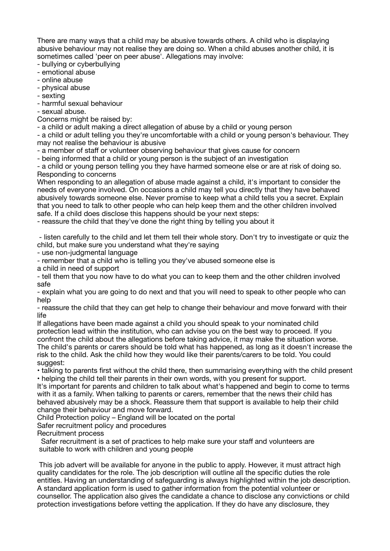There are many ways that a child may be abusive towards others. A child who is displaying abusive behaviour may not realise they are doing so. When a child abuses another child, it is sometimes called 'peer on peer abuse'. Allegations may involve:

- bullying or cyberbullying

- emotional abuse
- online abuse
- physical abuse

- sexting

- harmful sexual behaviour

- sexual abuse.

Concerns might be raised by:

- a child or adult making a direct allegation of abuse by a child or young person

- a child or adult telling you they're uncomfortable with a child or young person's behaviour. They may not realise the behaviour is abusive

- a member of staff or volunteer observing behaviour that gives cause for concern

- being informed that a child or young person is the subject of an investigation

- a child or young person telling you they have harmed someone else or are at risk of doing so. Responding to concerns

When responding to an allegation of abuse made against a child, it's important to consider the needs of everyone involved. On occasions a child may tell you directly that they have behaved abusively towards someone else. Never promise to keep what a child tells you a secret. Explain that you need to talk to other people who can help keep them and the other children involved safe. If a child does disclose this happens should be your next steps:

- reassure the child that they've done the right thing by telling you about it

 - listen carefully to the child and let them tell their whole story. Don't try to investigate or quiz the child, but make sure you understand what they're saying

- use non-judgmental language

- remember that a child who is telling you they've abused someone else is

a child in need of support

- tell them that you now have to do what you can to keep them and the other children involved safe

- explain what you are going to do next and that you will need to speak to other people who can help

- reassure the child that they can get help to change their behaviour and move forward with their life

If allegations have been made against a child you should speak to your nominated child protection lead within the institution, who can advise you on the best way to proceed. If you confront the child about the allegations before taking advice, it may make the situation worse. The child's parents or carers should be told what has happened, as long as it doesn't increase the

risk to the child. Ask the child how they would like their parents/carers to be told. You could suggest:

• talking to parents first without the child there, then summarising everything with the child present • helping the child tell their parents in their own words, with you present for support.

It's important for parents and children to talk about what's happened and begin to come to terms with it as a family. When talking to parents or carers, remember that the news their child has behaved abusively may be a shock. Reassure them that support is available to help their child change their behaviour and move forward.

Child Protection policy – England will be located on the portal

Safer recruitment policy and procedures

Recruitment process

 Safer recruitment is a set of practices to help make sure your staff and volunteers are suitable to work with children and young people

 This job advert will be available for anyone in the public to apply. However, it must attract high quality candidates for the role. The job description will outline all the specific duties the role entitles. Having an understanding of safeguarding is always highlighted within the job description. A standard application form is used to gather information from the potential volunteer or counsellor. The application also gives the candidate a chance to disclose any convictions or child protection investigations before vetting the application. If they do have any disclosure, they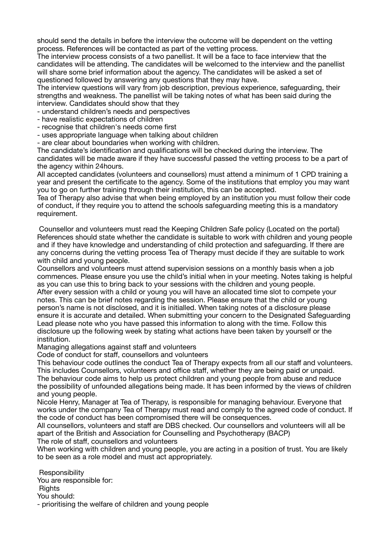should send the details in before the interview the outcome will be dependent on the vetting process. References will be contacted as part of the vetting process.

The interview process consists of a two panellist. It will be a face to face interview that the candidates will be attending. The candidates will be welcomed to the interview and the panellist will share some brief information about the agency. The candidates will be asked a set of questioned followed by answering any questions that they may have.

The interview questions will vary from job description, previous experience, safeguarding, their strengths and weakness. The panellist will be taking notes of what has been said during the interview. Candidates should show that they

- understand children's needs and perspectives

- have realistic expectations of children

- recognise that children's needs come first

- uses appropriate language when talking about children

- are clear about boundaries when working with children.

The candidate's identification and qualifications will be checked during the interview. The candidates will be made aware if they have successful passed the vetting process to be a part of the agency within 24hours.

All accepted candidates (volunteers and counsellors) must attend a minimum of 1 CPD training a year and present the certificate to the agency. Some of the institutions that employ you may want you to go on further training through their institution, this can be accepted.

Tea of Therapy also advise that when being employed by an institution you must follow their code of conduct, if they require you to attend the schools safeguarding meeting this is a mandatory requirement.

 Counsellor and volunteers must read the Keeping Children Safe policy (Located on the portal) References should state whether the candidate is suitable to work with children and young people and if they have knowledge and understanding of child protection and safeguarding. If there are any concerns during the vetting process Tea of Therapy must decide if they are suitable to work with child and young people.

Counsellors and volunteers must attend supervision sessions on a monthly basis when a job commences. Please ensure you use the child's initial when in your meeting. Notes taking is helpful as you can use this to bring back to your sessions with the children and young people. After every session with a child or young you will have an allocated time slot to compete your notes. This can be brief notes regarding the session. Please ensure that the child or young person's name is not disclosed, and it is initialled. When taking notes of a disclosure please ensure it is accurate and detailed. When submitting your concern to the Designated Safeguarding Lead please note who you have passed this information to along with the time. Follow this disclosure up the following week by stating what actions have been taken by yourself or the institution.

Managing allegations against staff and volunteers

Code of conduct for staff, counsellors and volunteers

This behaviour code outlines the conduct Tea of Therapy expects from all our staff and volunteers. This includes Counsellors, volunteers and office staff, whether they are being paid or unpaid. The behaviour code aims to help us protect children and young people from abuse and reduce the possibility of unfounded allegations being made. It has been informed by the views of children and young people.

Nicole Henry, Manager at Tea of Therapy, is responsible for managing behaviour. Everyone that works under the company Tea of Therapy must read and comply to the agreed code of conduct. If the code of conduct has been compromised there will be consequences.

All counsellors, volunteers and staff are DBS checked. Our counsellors and volunteers will all be apart of the British and Association for Counselling and Psychotherapy (BACP)

The role of staff, counsellors and volunteers

When working with children and young people, you are acting in a position of trust. You are likely to be seen as a role model and must act appropriately.

**Responsibility** 

You are responsible for:

**Rights** 

You should:

- prioritising the welfare of children and young people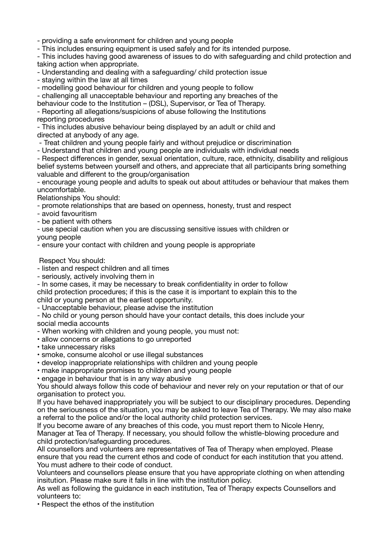- providing a safe environment for children and young people

- This includes ensuring equipment is used safely and for its intended purpose.

- This includes having good awareness of issues to do with safeguarding and child protection and taking action when appropriate.

- Understanding and dealing with a safeguarding/ child protection issue

- staying within the law at all times

- modelling good behaviour for children and young people to follow

- challenging all unacceptable behaviour and reporting any breaches of the

behaviour code to the Institution – (DSL), Supervisor, or Tea of Therapy. - Reporting all allegations/suspicions of abuse following the Institutions reporting procedures

- This includes abusive behaviour being displayed by an adult or child and directed at anybody of any age.

- Treat children and young people fairly and without prejudice or discrimination

- Understand that children and young people are individuals with individual needs

- Respect differences in gender, sexual orientation, culture, race, ethnicity, disability and religious belief systems between yourself and others, and appreciate that all participants bring something valuable and different to the group/organisation

- encourage young people and adults to speak out about attitudes or behaviour that makes them uncomfortable.

Relationships You should:

- promote relationships that are based on openness, honesty, trust and respect

- avoid favouritism

- be patient with others

- use special caution when you are discussing sensitive issues with children or young people

- ensure your contact with children and young people is appropriate

Respect You should:

- listen and respect children and all times

- seriously, actively involving them in

- In some cases, it may be necessary to break confidentiality in order to follow child protection procedures; if this is the case it is important to explain this to the child or young person at the earliest opportunity.

- Unacceptable behaviour, please advise the institution

- No child or young person should have your contact details, this does include your social media accounts

- When working with children and young people, you must not:

• allow concerns or allegations to go unreported

• take unnecessary risks

• smoke, consume alcohol or use illegal substances

• develop inappropriate relationships with children and young people

• make inappropriate promises to children and young people

• engage in behaviour that is in any way abusive

You should always follow this code of behaviour and never rely on your reputation or that of our organisation to protect you.

If you have behaved inappropriately you will be subject to our disciplinary procedures. Depending on the seriousness of the situation, you may be asked to leave Tea of Therapy. We may also make a referral to the police and/or the local authority child protection services.

If you become aware of any breaches of this code, you must report them to Nicole Henry, Manager at Tea of Therapy. If necessary, you should follow the whistle-blowing procedure and child protection/safeguarding procedures.

All counsellors and volunteers are representatives of Tea of Therapy when employed. Please ensure that you read the current ethos and code of conduct for each institution that you attend. You must adhere to their code of conduct.

Volunteers and counsellors please ensure that you have appropriate clothing on when attending insitution. Please make sure it falls in line with the institution policy.

As well as following the guidance in each institution, Tea of Therapy expects Counsellors and volunteers to:

• Respect the ethos of the institution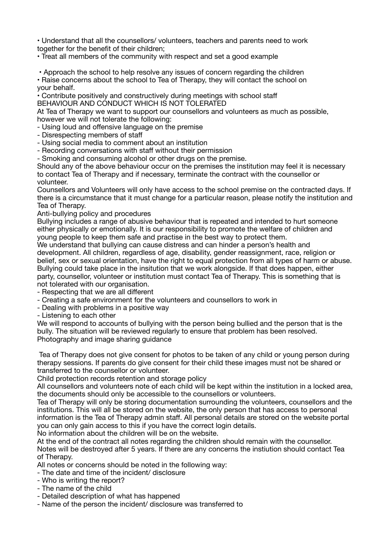• Understand that all the counsellors/ volunteers, teachers and parents need to work together for the benefit of their children;

• Treat all members of the community with respect and set a good example

• Approach the school to help resolve any issues of concern regarding the children

• Raise concerns about the school to Tea of Therapy, they will contact the school on your behalf.

• Contribute positively and constructively during meetings with school staff BEHAVIOUR AND CONDUCT WHICH IS NOT TOLERATED

At Tea of Therapy we want to support our counsellors and volunteers as much as possible, however we will not tolerate the following:

- Using loud and offensive language on the premise

- Disrespecting members of staff
- Using social media to comment about an institution
- Recording conversations with staff without their permission

- Smoking and consuming alcohol or other drugs on the premise.

Should any of the above behaviour occur on the premises the institution may feel it is necessary to contact Tea of Therapy and if necessary, terminate the contract with the counsellor or volunteer.

Counsellors and Volunteers will only have access to the school premise on the contracted days. If there is a circumstance that it must change for a particular reason, please notify the institution and Tea of Therapy.

Anti-bullying policy and procedures

Bullying includes a range of abusive behaviour that is repeated and intended to hurt someone either physically or emotionally. It is our responsibility to promote the welfare of children and young people to keep them safe and practise in the best way to protect them.

We understand that bullying can cause distress and can hinder a person's health and development. All children, regardless of age, disability, gender reassignment, race, religion or belief, sex or sexual orientation, have the right to equal protection from all types of harm or abuse. Bullying could take place in the insitution that we work alongside. If that does happen, either party, counsellor, volunteer or institution must contact Tea of Therapy. This is something that is not tolerated with our organisation.

- Respecting that we are all different
- Creating a safe environment for the volunteers and counsellors to work in
- Dealing with problems in a positive way
- Listening to each other

We will respond to accounts of bullying with the person being bullied and the person that is the bully. The situation will be reviewed regularly to ensure that problem has been resolved. Photography and image sharing guidance

 Tea of Therapy does not give consent for photos to be taken of any child or young person during therapy sessions. If parents do give consent for their child these images must not be shared or transferred to the counsellor or volunteer.

Child protection records retention and storage policy

All counsellors and volunteers note of each child will be kept within the institution in a locked area, the documents should only be accessible to the counsellors or volunteers.

Tea of Therapy will only be storing documentation surrounding the volunteers, counsellors and the institutions. This will all be stored on the website, the only person that has access to personal information is the Tea of Therapy admin staff. All personal details are stored on the website portal you can only gain access to this if you have the correct login details. No information about the children will be on the website.

At the end of the contract all notes regarding the children should remain with the counsellor. Notes will be destroyed after 5 years. If there are any concerns the instiution should contact Tea of Therapy.

All notes or concerns should be noted in the following way:

- The date and time of the incident/ disclosure
- Who is writing the report?
- The name of the child
- Detailed description of what has happened
- Name of the person the incident/ disclosure was transferred to